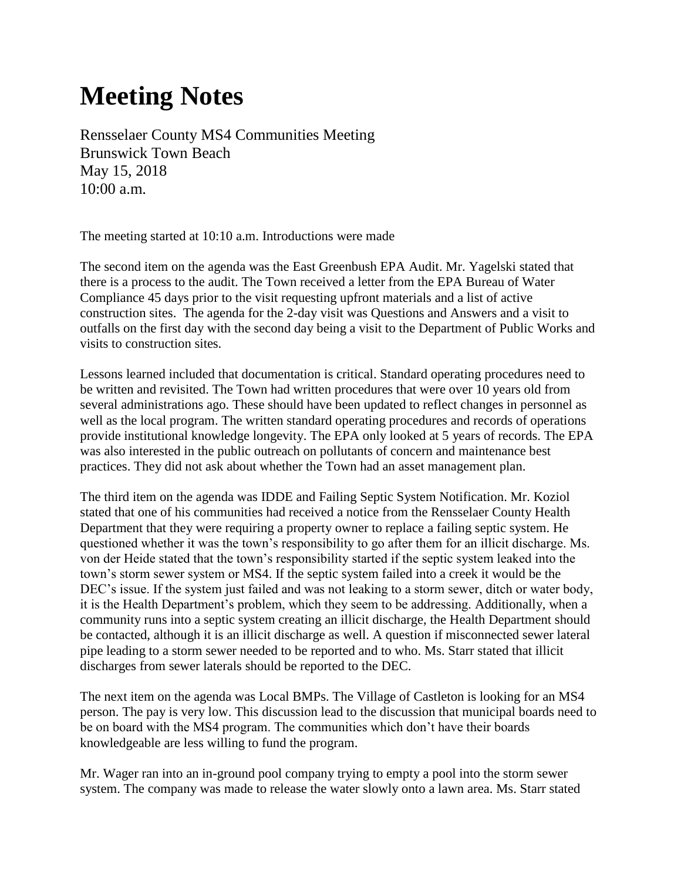## **Meeting Notes**

Rensselaer County MS4 Communities Meeting Brunswick Town Beach May 15, 2018 10:00 a.m.

The meeting started at 10:10 a.m. Introductions were made

The second item on the agenda was the East Greenbush EPA Audit. Mr. Yagelski stated that there is a process to the audit. The Town received a letter from the EPA Bureau of Water Compliance 45 days prior to the visit requesting upfront materials and a list of active construction sites. The agenda for the 2-day visit was Questions and Answers and a visit to outfalls on the first day with the second day being a visit to the Department of Public Works and visits to construction sites.

Lessons learned included that documentation is critical. Standard operating procedures need to be written and revisited. The Town had written procedures that were over 10 years old from several administrations ago. These should have been updated to reflect changes in personnel as well as the local program. The written standard operating procedures and records of operations provide institutional knowledge longevity. The EPA only looked at 5 years of records. The EPA was also interested in the public outreach on pollutants of concern and maintenance best practices. They did not ask about whether the Town had an asset management plan.

The third item on the agenda was IDDE and Failing Septic System Notification. Mr. Koziol stated that one of his communities had received a notice from the Rensselaer County Health Department that they were requiring a property owner to replace a failing septic system. He questioned whether it was the town's responsibility to go after them for an illicit discharge. Ms. von der Heide stated that the town's responsibility started if the septic system leaked into the town's storm sewer system or MS4. If the septic system failed into a creek it would be the DEC's issue. If the system just failed and was not leaking to a storm sewer, ditch or water body, it is the Health Department's problem, which they seem to be addressing. Additionally, when a community runs into a septic system creating an illicit discharge, the Health Department should be contacted, although it is an illicit discharge as well. A question if misconnected sewer lateral pipe leading to a storm sewer needed to be reported and to who. Ms. Starr stated that illicit discharges from sewer laterals should be reported to the DEC.

The next item on the agenda was Local BMPs. The Village of Castleton is looking for an MS4 person. The pay is very low. This discussion lead to the discussion that municipal boards need to be on board with the MS4 program. The communities which don't have their boards knowledgeable are less willing to fund the program.

Mr. Wager ran into an in-ground pool company trying to empty a pool into the storm sewer system. The company was made to release the water slowly onto a lawn area. Ms. Starr stated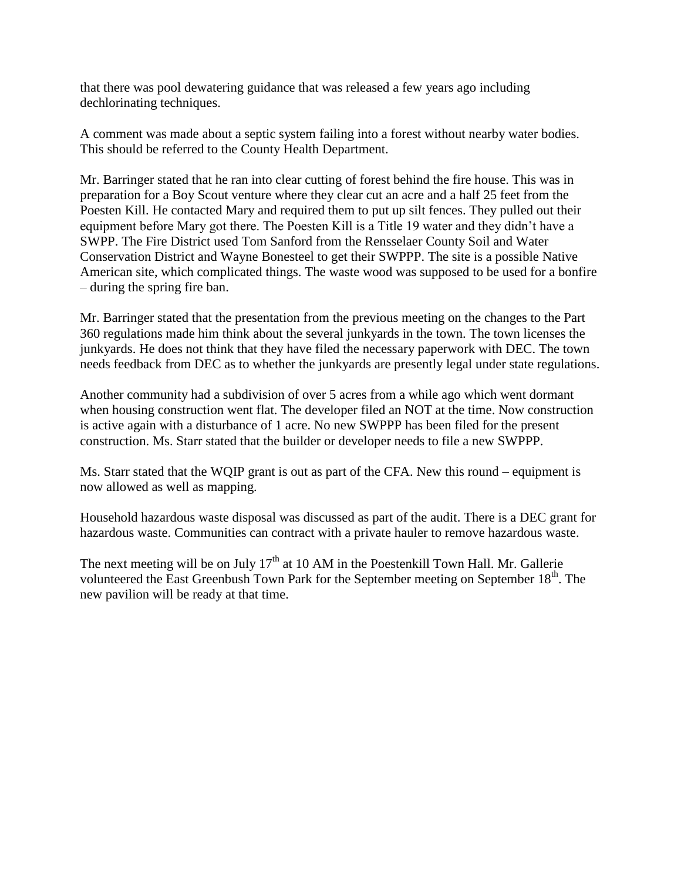that there was pool dewatering guidance that was released a few years ago including dechlorinating techniques.

A comment was made about a septic system failing into a forest without nearby water bodies. This should be referred to the County Health Department.

Mr. Barringer stated that he ran into clear cutting of forest behind the fire house. This was in preparation for a Boy Scout venture where they clear cut an acre and a half 25 feet from the Poesten Kill. He contacted Mary and required them to put up silt fences. They pulled out their equipment before Mary got there. The Poesten Kill is a Title 19 water and they didn't have a SWPP. The Fire District used Tom Sanford from the Rensselaer County Soil and Water Conservation District and Wayne Bonesteel to get their SWPPP. The site is a possible Native American site, which complicated things. The waste wood was supposed to be used for a bonfire – during the spring fire ban.

Mr. Barringer stated that the presentation from the previous meeting on the changes to the Part 360 regulations made him think about the several junkyards in the town. The town licenses the junkyards. He does not think that they have filed the necessary paperwork with DEC. The town needs feedback from DEC as to whether the junkyards are presently legal under state regulations.

Another community had a subdivision of over 5 acres from a while ago which went dormant when housing construction went flat. The developer filed an NOT at the time. Now construction is active again with a disturbance of 1 acre. No new SWPPP has been filed for the present construction. Ms. Starr stated that the builder or developer needs to file a new SWPPP.

Ms. Starr stated that the WQIP grant is out as part of the CFA. New this round – equipment is now allowed as well as mapping.

Household hazardous waste disposal was discussed as part of the audit. There is a DEC grant for hazardous waste. Communities can contract with a private hauler to remove hazardous waste.

The next meeting will be on July  $17<sup>th</sup>$  at 10 AM in the Poestenkill Town Hall. Mr. Gallerie volunteered the East Greenbush Town Park for the September meeting on September  $18<sup>th</sup>$ . The new pavilion will be ready at that time.